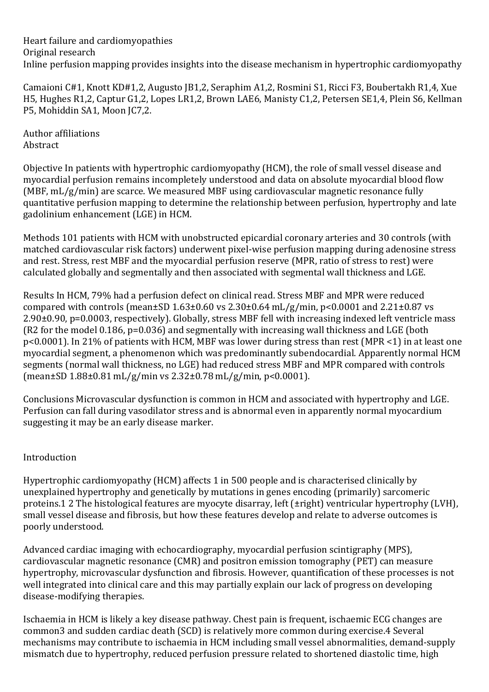Heart failure and cardiomyopathies Original research Inline perfusion mapping provides insights into the disease mechanism in hypertrophic cardiomyopathy

Camaioni C#1, Knott KD#1,2, Augusto JB1,2, Seraphim A1,2, Rosmini S1, Ricci F3, Boubertakh R1,4, Xue H5, Hughes R1,2, Captur G1,2, Lopes LR1,2, Brown LAE6, Manisty C1,2, Petersen SE1,4, Plein S6, Kellman P5, Mohiddin SA1, Moon JC7,2.

Author affiliations Abstract

Objective In patients with hypertrophic cardiomyopathy (HCM), the role of small vessel disease and myocardial perfusion remains incompletely understood and data on absolute myocardial blood flow (MBF, mL/g/min) are scarce. We measured MBF using cardiovascular magnetic resonance fully quantitative perfusion mapping to determine the relationship between perfusion, hypertrophy and late gadolinium enhancement (LGE) in HCM.

Methods 101 patients with HCM with unobstructed epicardial coronary arteries and 30 controls (with matched cardiovascular risk factors) underwent pixel-wise perfusion mapping during adenosine stress and rest. Stress, rest MBF and the myocardial perfusion reserve (MPR, ratio of stress to rest) were calculated globally and segmentally and then associated with segmental wall thickness and LGE.

Results In HCM, 79% had a perfusion defect on clinical read. Stress MBF and MPR were reduced compared with controls (mean $\pm$ SD 1.63 $\pm$ 0.60 vs 2.30 $\pm$ 0.64 mL/g/min, p<0.0001 and 2.21 $\pm$ 0.87 vs 2.90±0.90, p=0.0003, respectively). Globally, stress MBF fell with increasing indexed left ventricle mass (R2 for the model 0.186, p=0.036) and segmentally with increasing wall thickness and LGE (both p<0.0001). In 21% of patients with HCM, MBF was lower during stress than rest (MPR <1) in at least one myocardial segment, a phenomenon which was predominantly subendocardial. Apparently normal HCM segments (normal wall thickness, no LGE) had reduced stress MBF and MPR compared with controls (mean±SD 1.88±0.81 mL/g/min vs 2.32±0.78 mL/g/min, p<0.0001).

Conclusions Microvascular dysfunction is common in HCM and associated with hypertrophy and LGE. Perfusion can fall during vasodilator stress and is abnormal even in apparently normal myocardium suggesting it may be an early disease marker.

## Introduction

Hypertrophic cardiomyopathy (HCM) affects 1 in 500 people and is characterised clinically by unexplained hypertrophy and genetically by mutations in genes encoding (primarily) sarcomeric proteins.1 2 The histological features are myocyte disarray, left (±right) ventricular hypertrophy (LVH), small vessel disease and fibrosis, but how these features develop and relate to adverse outcomes is poorly understood.

Advanced cardiac imaging with echocardiography, myocardial perfusion scintigraphy (MPS), cardiovascular magnetic resonance (CMR) and positron emission tomography (PET) can measure hypertrophy, microvascular dysfunction and fibrosis. However, quantification of these processes is not well integrated into clinical care and this may partially explain our lack of progress on developing disease-modifying therapies.

Ischaemia in HCM is likely a key disease pathway. Chest pain is frequent, ischaemic ECG changes are common3 and sudden cardiac death (SCD) is relatively more common during exercise.4 Several mechanisms may contribute to ischaemia in HCM including small vessel abnormalities, demand-supply mismatch due to hypertrophy, reduced perfusion pressure related to shortened diastolic time, high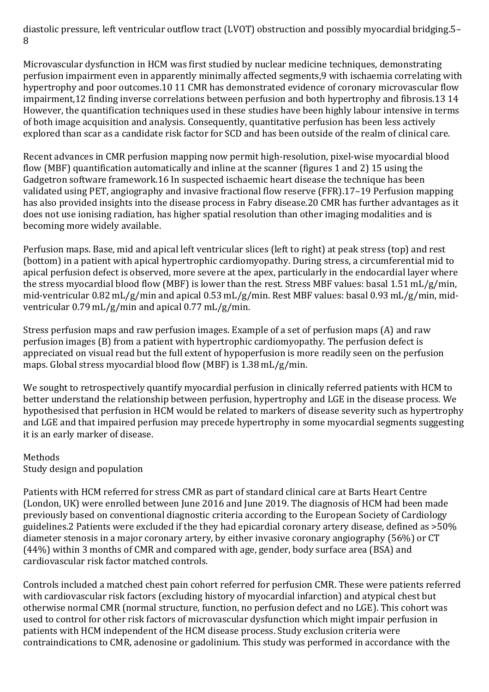diastolic pressure, left ventricular outflow tract (LVOT) obstruction and possibly myocardial bridging.5– 8

Microvascular dysfunction in HCM was first studied by nuclear medicine techniques, demonstrating perfusion impairment even in apparently minimally affected segments,9 with ischaemia correlating with hypertrophy and poor outcomes.10 11 CMR has demonstrated evidence of coronary microvascular flow impairment,12 finding inverse correlations between perfusion and both hypertrophy and fibrosis.13 14 However, the quantification techniques used in these studies have been highly labour intensive in terms of both image acquisition and analysis. Consequently, quantitative perfusion has been less actively explored than scar as a candidate risk factor for SCD and has been outside of the realm of clinical care.

Recent advances in CMR perfusion mapping now permit high-resolution, pixel-wise myocardial blood flow (MBF) quantification automatically and inline at the scanner (figures 1 and 2) 15 using the Gadgetron software framework.16 In suspected ischaemic heart disease the technique has been validated using PET, angiography and invasive fractional flow reserve (FFR).17–19 Perfusion mapping has also provided insights into the disease process in Fabry disease.20 CMR has further advantages as it does not use ionising radiation, has higher spatial resolution than other imaging modalities and is becoming more widely available.

Perfusion maps. Base, mid and apical left ventricular slices (left to right) at peak stress (top) and rest (bottom) in a patient with apical hypertrophic cardiomyopathy. During stress, a circumferential mid to apical perfusion defect is observed, more severe at the apex, particularly in the endocardial layer where the stress myocardial blood flow (MBF) is lower than the rest. Stress MBF values: basal 1.51 mL/g/min, mid-ventricular 0.82 mL/g/min and apical 0.53 mL/g/min. Rest MBF values: basal 0.93 mL/g/min, midventricular 0.79 mL/g/min and apical 0.77 mL/g/min.

Stress perfusion maps and raw perfusion images. Example of a set of perfusion maps (A) and raw perfusion images (B) from a patient with hypertrophic cardiomyopathy. The perfusion defect is appreciated on visual read but the full extent of hypoperfusion is more readily seen on the perfusion maps. Global stress myocardial blood flow (MBF) is 1.38 mL/g/min.

We sought to retrospectively quantify myocardial perfusion in clinically referred patients with HCM to better understand the relationship between perfusion, hypertrophy and LGE in the disease process. We hypothesised that perfusion in HCM would be related to markers of disease severity such as hypertrophy and LGE and that impaired perfusion may precede hypertrophy in some myocardial segments suggesting it is an early marker of disease.

#### Methods Study design and population

Patients with HCM referred for stress CMR as part of standard clinical care at Barts Heart Centre (London, UK) were enrolled between June 2016 and June 2019. The diagnosis of HCM had been made previously based on conventional diagnostic criteria according to the European Society of Cardiology guidelines.2 Patients were excluded if the they had epicardial coronary artery disease, defined as >50% diameter stenosis in a major coronary artery, by either invasive coronary angiography (56%) or CT (44%) within 3 months of CMR and compared with age, gender, body surface area (BSA) and cardiovascular risk factor matched controls.

Controls included a matched chest pain cohort referred for perfusion CMR. These were patients referred with cardiovascular risk factors (excluding history of myocardial infarction) and atypical chest but otherwise normal CMR (normal structure, function, no perfusion defect and no LGE). This cohort was used to control for other risk factors of microvascular dysfunction which might impair perfusion in patients with HCM independent of the HCM disease process. Study exclusion criteria were contraindications to CMR, adenosine or gadolinium. This study was performed in accordance with the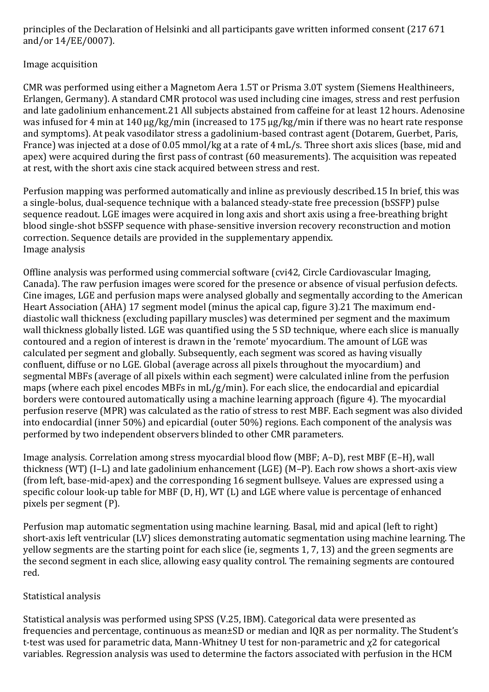principles of the Declaration of Helsinki and all participants gave written informed consent (217 671 and/or 14/EE/0007).

# Image acquisition

CMR was performed using either a Magnetom Aera 1.5T or Prisma 3.0T system (Siemens Healthineers, Erlangen, Germany). A standard CMR protocol was used including cine images, stress and rest perfusion and late gadolinium enhancement.21 All subjects abstained from caffeine for at least 12 hours. Adenosine was infused for 4 min at 140 µg/kg/min (increased to 175 µg/kg/min if there was no heart rate response and symptoms). At peak vasodilator stress a gadolinium-based contrast agent (Dotarem, Guerbet, Paris, France) was injected at a dose of 0.05 mmol/kg at a rate of 4 mL/s. Three short axis slices (base, mid and apex) were acquired during the first pass of contrast (60 measurements). The acquisition was repeated at rest, with the short axis cine stack acquired between stress and rest.

Perfusion mapping was performed automatically and inline as previously described.15 In brief, this was a single-bolus, dual-sequence technique with a balanced steady-state free precession (bSSFP) pulse sequence readout. LGE images were acquired in long axis and short axis using a free-breathing bright blood single-shot bSSFP sequence with phase-sensitive inversion recovery reconstruction and motion correction. Sequence details are provided in the supplementary appendix. Image analysis

Offline analysis was performed using commercial software (cvi42, Circle Cardiovascular Imaging, Canada). The raw perfusion images were scored for the presence or absence of visual perfusion defects. Cine images, LGE and perfusion maps were analysed globally and segmentally according to the American Heart Association (AHA) 17 segment model (minus the apical cap, figure 3).21 The maximum enddiastolic wall thickness (excluding papillary muscles) was determined per segment and the maximum wall thickness globally listed. LGE was quantified using the 5 SD technique, where each slice is manually contoured and a region of interest is drawn in the 'remote' myocardium. The amount of LGE was calculated per segment and globally. Subsequently, each segment was scored as having visually confluent, diffuse or no LGE. Global (average across all pixels throughout the myocardium) and segmental MBFs (average of all pixels within each segment) were calculated inline from the perfusion maps (where each pixel encodes MBFs in mL/g/min). For each slice, the endocardial and epicardial borders were contoured automatically using a machine learning approach (figure 4). The myocardial perfusion reserve (MPR) was calculated as the ratio of stress to rest MBF. Each segment was also divided into endocardial (inner 50%) and epicardial (outer 50%) regions. Each component of the analysis was performed by two independent observers blinded to other CMR parameters.

Image analysis. Correlation among stress myocardial blood flow (MBF; A–D), rest MBF (E–H), wall thickness (WT) (I–L) and late gadolinium enhancement (LGE) (M–P). Each row shows a short-axis view (from left, base-mid-apex) and the corresponding 16 segment bullseye. Values are expressed using a specific colour look-up table for MBF (D, H), WT (L) and LGE where value is percentage of enhanced pixels per segment (P).

Perfusion map automatic segmentation using machine learning. Basal, mid and apical (left to right) short-axis left ventricular (LV) slices demonstrating automatic segmentation using machine learning. The yellow segments are the starting point for each slice (ie, segments 1, 7, 13) and the green segments are the second segment in each slice, allowing easy quality control. The remaining segments are contoured red.

# Statistical analysis

Statistical analysis was performed using SPSS (V.25, IBM). Categorical data were presented as frequencies and percentage, continuous as mean±SD or median and IQR as per normality. The Student's t-test was used for parametric data, Mann-Whitney U test for non-parametric and χ2 for categorical variables. Regression analysis was used to determine the factors associated with perfusion in the HCM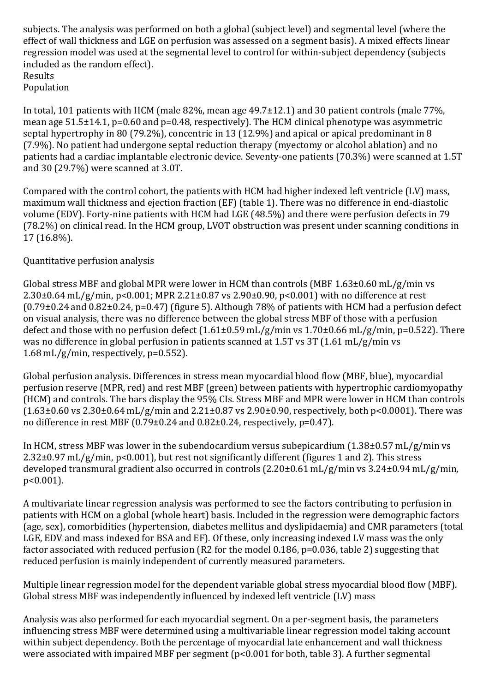subjects. The analysis was performed on both a global (subject level) and segmental level (where the effect of wall thickness and LGE on perfusion was assessed on a segment basis). A mixed effects linear regression model was used at the segmental level to control for within-subject dependency (subjects included as the random effect). Results Population

In total, 101 patients with HCM (male 82%, mean age 49.7±12.1) and 30 patient controls (male 77%, mean age 51.5±14.1, p=0.60 and p=0.48, respectively). The HCM clinical phenotype was asymmetric septal hypertrophy in 80 (79.2%), concentric in 13 (12.9%) and apical or apical predominant in 8 (7.9%). No patient had undergone septal reduction therapy (myectomy or alcohol ablation) and no patients had a cardiac implantable electronic device. Seventy-one patients (70.3%) were scanned at 1.5T and 30 (29.7%) were scanned at 3.0T.

Compared with the control cohort, the patients with HCM had higher indexed left ventricle (LV) mass, maximum wall thickness and ejection fraction (EF) (table 1). There was no difference in end-diastolic volume (EDV). Forty-nine patients with HCM had LGE (48.5%) and there were perfusion defects in 79 (78.2%) on clinical read. In the HCM group, LVOT obstruction was present under scanning conditions in 17 (16.8%).

## Quantitative perfusion analysis

Global stress MBF and global MPR were lower in HCM than controls (MBF 1.63±0.60 mL/g/min vs 2.30±0.64 mL/g/min, p<0.001; MPR 2.21±0.87 vs 2.90±0.90, p<0.001) with no difference at rest (0.79±0.24 and 0.82±0.24, p=0.47) (figure 5). Although 78% of patients with HCM had a perfusion defect on visual analysis, there was no difference between the global stress MBF of those with a perfusion defect and those with no perfusion defect (1.61±0.59 mL/g/min vs 1.70±0.66 mL/g/min, p=0.522). There was no difference in global perfusion in patients scanned at 1.5T vs 3T (1.61 mL/g/min vs 1.68 mL/g/min, respectively, p=0.552).

Global perfusion analysis. Differences in stress mean myocardial blood flow (MBF, blue), myocardial perfusion reserve (MPR, red) and rest MBF (green) between patients with hypertrophic cardiomyopathy (HCM) and controls. The bars display the 95% CIs. Stress MBF and MPR were lower in HCM than controls  $(1.63\pm0.60 \text{ vs } 2.30\pm0.64 \text{ mL/g/min}$  and  $2.21\pm0.87 \text{ vs } 2.90\pm0.90$ , respectively, both p<0.0001). There was no difference in rest MBF (0.79±0.24 and 0.82±0.24, respectively, p=0.47).

In HCM, stress MBF was lower in the subendocardium versus subepicardium (1.38±0.57 mL/g/min vs 2.32±0.97 mL/g/min, p<0.001), but rest not significantly different (figures 1 and 2). This stress developed transmural gradient also occurred in controls (2.20±0.61 mL/g/min vs 3.24±0.94 mL/g/min, p<0.001).

A multivariate linear regression analysis was performed to see the factors contributing to perfusion in patients with HCM on a global (whole heart) basis. Included in the regression were demographic factors (age, sex), comorbidities (hypertension, diabetes mellitus and dyslipidaemia) and CMR parameters (total LGE, EDV and mass indexed for BSA and EF). Of these, only increasing indexed LV mass was the only factor associated with reduced perfusion (R2 for the model 0.186, p=0.036, table 2) suggesting that reduced perfusion is mainly independent of currently measured parameters.

Multiple linear regression model for the dependent variable global stress myocardial blood flow (MBF). Global stress MBF was independently influenced by indexed left ventricle (LV) mass

Analysis was also performed for each myocardial segment. On a per-segment basis, the parameters influencing stress MBF were determined using a multivariable linear regression model taking account within subject dependency. Both the percentage of myocardial late enhancement and wall thickness were associated with impaired MBF per segment (p<0.001 for both, table 3). A further segmental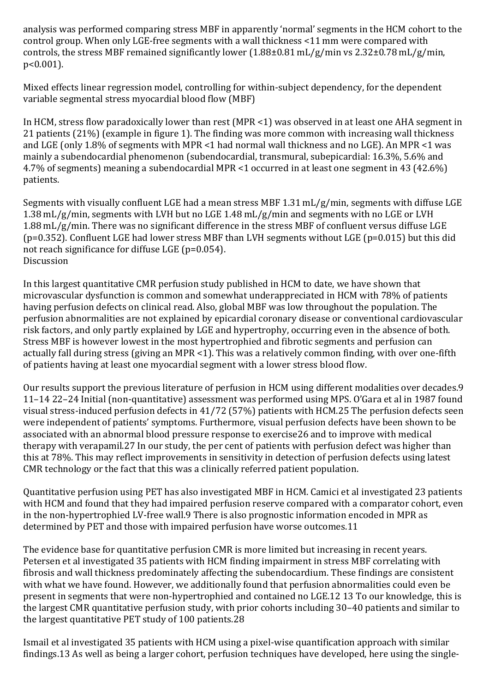analysis was performed comparing stress MBF in apparently 'normal' segments in the HCM cohort to the control group. When only LGE-free segments with a wall thickness <11 mm were compared with controls, the stress MBF remained significantly lower (1.88±0.81 mL/g/min vs 2.32±0.78 mL/g/min, p<0.001).

Mixed effects linear regression model, controlling for within-subject dependency, for the dependent variable segmental stress myocardial blood flow (MBF)

In HCM, stress flow paradoxically lower than rest (MPR <1) was observed in at least one AHA segment in 21 patients (21%) (example in figure 1). The finding was more common with increasing wall thickness and LGE (only 1.8% of segments with MPR <1 had normal wall thickness and no LGE). An MPR <1 was mainly a subendocardial phenomenon (subendocardial, transmural, subepicardial: 16.3%, 5.6% and 4.7% of segments) meaning a subendocardial MPR <1 occurred in at least one segment in 43 (42.6%) patients.

Segments with visually confluent LGE had a mean stress MBF 1.31 mL/g/min, segments with diffuse LGE 1.38 mL/g/min, segments with LVH but no LGE 1.48 mL/g/min and segments with no LGE or LVH 1.88 mL/g/min. There was no significant difference in the stress MBF of confluent versus diffuse LGE (p=0.352). Confluent LGE had lower stress MBF than LVH segments without LGE (p=0.015) but this did not reach significance for diffuse LGE (p=0.054). **Discussion** 

In this largest quantitative CMR perfusion study published in HCM to date, we have shown that microvascular dysfunction is common and somewhat underappreciated in HCM with 78% of patients having perfusion defects on clinical read. Also, global MBF was low throughout the population. The perfusion abnormalities are not explained by epicardial coronary disease or conventional cardiovascular risk factors, and only partly explained by LGE and hypertrophy, occurring even in the absence of both. Stress MBF is however lowest in the most hypertrophied and fibrotic segments and perfusion can actually fall during stress (giving an MPR <1). This was a relatively common finding, with over one-fifth of patients having at least one myocardial segment with a lower stress blood flow.

Our results support the previous literature of perfusion in HCM using different modalities over decades.9 11–14 22–24 Initial (non-quantitative) assessment was performed using MPS. O'Gara et al in 1987 found visual stress-induced perfusion defects in 41/72 (57%) patients with HCM.25 The perfusion defects seen were independent of patients' symptoms. Furthermore, visual perfusion defects have been shown to be associated with an abnormal blood pressure response to exercise26 and to improve with medical therapy with verapamil.27 In our study, the per cent of patients with perfusion defect was higher than this at 78%. This may reflect improvements in sensitivity in detection of perfusion defects using latest CMR technology or the fact that this was a clinically referred patient population.

Quantitative perfusion using PET has also investigated MBF in HCM. Camici et al investigated 23 patients with HCM and found that they had impaired perfusion reserve compared with a comparator cohort, even in the non-hypertrophied LV-free wall.9 There is also prognostic information encoded in MPR as determined by PET and those with impaired perfusion have worse outcomes.11

The evidence base for quantitative perfusion CMR is more limited but increasing in recent years. Petersen et al investigated 35 patients with HCM finding impairment in stress MBF correlating with fibrosis and wall thickness predominately affecting the subendocardium. These findings are consistent with what we have found. However, we additionally found that perfusion abnormalities could even be present in segments that were non-hypertrophied and contained no LGE.12 13 To our knowledge, this is the largest CMR quantitative perfusion study, with prior cohorts including 30–40 patients and similar to the largest quantitative PET study of 100 patients.28

Ismail et al investigated 35 patients with HCM using a pixel-wise quantification approach with similar findings.13 As well as being a larger cohort, perfusion techniques have developed, here using the single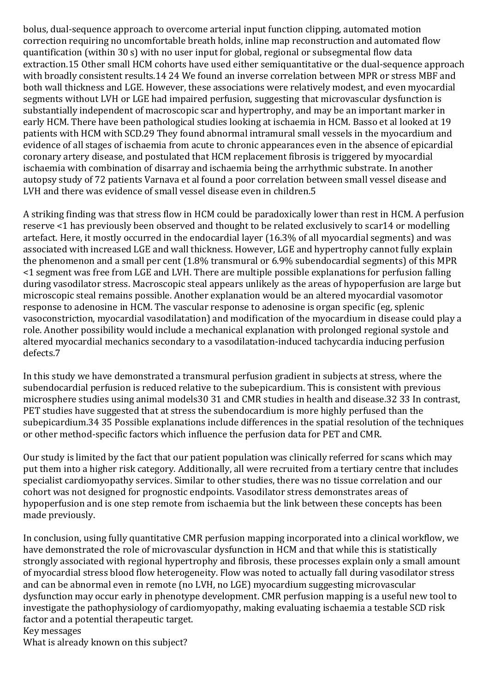bolus, dual-sequence approach to overcome arterial input function clipping, automated motion correction requiring no uncomfortable breath holds, inline map reconstruction and automated flow quantification (within 30 s) with no user input for global, regional or subsegmental flow data extraction.15 Other small HCM cohorts have used either semiquantitative or the dual-sequence approach with broadly consistent results.14 24 We found an inverse correlation between MPR or stress MBF and both wall thickness and LGE. However, these associations were relatively modest, and even myocardial segments without LVH or LGE had impaired perfusion, suggesting that microvascular dysfunction is substantially independent of macroscopic scar and hypertrophy, and may be an important marker in early HCM. There have been pathological studies looking at ischaemia in HCM. Basso et al looked at 19 patients with HCM with SCD.29 They found abnormal intramural small vessels in the myocardium and evidence of all stages of ischaemia from acute to chronic appearances even in the absence of epicardial coronary artery disease, and postulated that HCM replacement fibrosis is triggered by myocardial ischaemia with combination of disarray and ischaemia being the arrhythmic substrate. In another autopsy study of 72 patients Varnava et al found a poor correlation between small vessel disease and LVH and there was evidence of small vessel disease even in children.5

A striking finding was that stress flow in HCM could be paradoxically lower than rest in HCM. A perfusion reserve <1 has previously been observed and thought to be related exclusively to scar14 or modelling artefact. Here, it mostly occurred in the endocardial layer (16.3% of all myocardial segments) and was associated with increased LGE and wall thickness. However, LGE and hypertrophy cannot fully explain the phenomenon and a small per cent (1.8% transmural or 6.9% subendocardial segments) of this MPR <1 segment was free from LGE and LVH. There are multiple possible explanations for perfusion falling during vasodilator stress. Macroscopic steal appears unlikely as the areas of hypoperfusion are large but microscopic steal remains possible. Another explanation would be an altered myocardial vasomotor response to adenosine in HCM. The vascular response to adenosine is organ specific (eg, splenic vasoconstriction, myocardial vasodilatation) and modification of the myocardium in disease could play a role. Another possibility would include a mechanical explanation with prolonged regional systole and altered myocardial mechanics secondary to a vasodilatation-induced tachycardia inducing perfusion defects.7

In this study we have demonstrated a transmural perfusion gradient in subjects at stress, where the subendocardial perfusion is reduced relative to the subepicardium. This is consistent with previous microsphere studies using animal models30 31 and CMR studies in health and disease.32 33 In contrast, PET studies have suggested that at stress the subendocardium is more highly perfused than the subepicardium.34 35 Possible explanations include differences in the spatial resolution of the techniques or other method-specific factors which influence the perfusion data for PET and CMR.

Our study is limited by the fact that our patient population was clinically referred for scans which may put them into a higher risk category. Additionally, all were recruited from a tertiary centre that includes specialist cardiomyopathy services. Similar to other studies, there was no tissue correlation and our cohort was not designed for prognostic endpoints. Vasodilator stress demonstrates areas of hypoperfusion and is one step remote from ischaemia but the link between these concepts has been made previously.

In conclusion, using fully quantitative CMR perfusion mapping incorporated into a clinical workflow, we have demonstrated the role of microvascular dysfunction in HCM and that while this is statistically strongly associated with regional hypertrophy and fibrosis, these processes explain only a small amount of myocardial stress blood flow heterogeneity. Flow was noted to actually fall during vasodilator stress and can be abnormal even in remote (no LVH, no LGE) myocardium suggesting microvascular dysfunction may occur early in phenotype development. CMR perfusion mapping is a useful new tool to investigate the pathophysiology of cardiomyopathy, making evaluating ischaemia a testable SCD risk factor and a potential therapeutic target. Key messages

What is already known on this subject?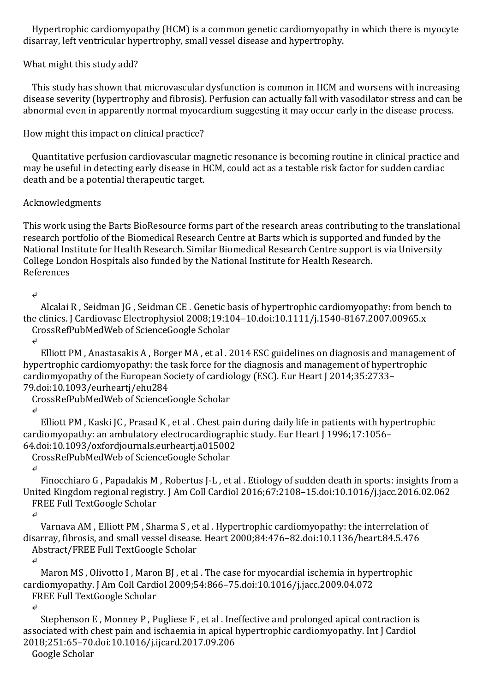Hypertrophic cardiomyopathy (HCM) is a common genetic cardiomyopathy in which there is myocyte disarray, left ventricular hypertrophy, small vessel disease and hypertrophy.

## What might this study add?

 This study has shown that microvascular dysfunction is common in HCM and worsens with increasing disease severity (hypertrophy and fibrosis). Perfusion can actually fall with vasodilator stress and can be abnormal even in apparently normal myocardium suggesting it may occur early in the disease process.

How might this impact on clinical practice?

 Quantitative perfusion cardiovascular magnetic resonance is becoming routine in clinical practice and may be useful in detecting early disease in HCM, could act as a testable risk factor for sudden cardiac death and be a potential therapeutic target.

### Acknowledgments

This work using the Barts BioResource forms part of the research areas contributing to the translational research portfolio of the Biomedical Research Centre at Barts which is supported and funded by the National Institute for Health Research. Similar Biomedical Research Centre support is via University College London Hospitals also funded by the National Institute for Health Research. References

#### ↵

 Alcalai R , Seidman JG , Seidman CE . Genetic basis of hypertrophic cardiomyopathy: from bench to the clinics. J Cardiovasc Electrophysiol 2008;19:104–10.doi:10.1111/j.1540-8167.2007.00965.x CrossRefPubMedWeb of ScienceGoogle Scholar

↵

 Elliott PM , Anastasakis A , Borger MA , et al . 2014 ESC guidelines on diagnosis and management of hypertrophic cardiomyopathy: the task force for the diagnosis and management of hypertrophic cardiomyopathy of the European Society of cardiology (ESC). Eur Heart J 2014;35:2733– 79.doi:10.1093/eurheartj/ehu284

CrossRefPubMedWeb of ScienceGoogle Scholar

### ↵

 Elliott PM , Kaski JC , Prasad K , et al . Chest pain during daily life in patients with hypertrophic cardiomyopathy: an ambulatory electrocardiographic study. Eur Heart J 1996;17:1056– 64.doi:10.1093/oxfordjournals.eurheartj.a015002

CrossRefPubMedWeb of ScienceGoogle Scholar

#### ↵

 Finocchiaro G , Papadakis M , Robertus J-L , et al . Etiology of sudden death in sports: insights from a United Kingdom regional registry. J Am Coll Cardiol 2016;67:2108–15.doi:10.1016/j.jacc.2016.02.062 FREE Full TextGoogle Scholar

↵

 Varnava AM , Elliott PM , Sharma S , et al . Hypertrophic cardiomyopathy: the interrelation of disarray, fibrosis, and small vessel disease. Heart 2000;84:476–82.doi:10.1136/heart.84.5.476 Abstract/FREE Full TextGoogle Scholar

↵

 Maron MS , Olivotto I , Maron BJ , et al . The case for myocardial ischemia in hypertrophic cardiomyopathy. J Am Coll Cardiol 2009;54:866–75.doi:10.1016/j.jacc.2009.04.072 FREE Full TextGoogle Scholar

↵

 Stephenson E , Monney P , Pugliese F , et al . Ineffective and prolonged apical contraction is associated with chest pain and ischaemia in apical hypertrophic cardiomyopathy. Int J Cardiol 2018;251:65–70.doi:10.1016/j.ijcard.2017.09.206

Google Scholar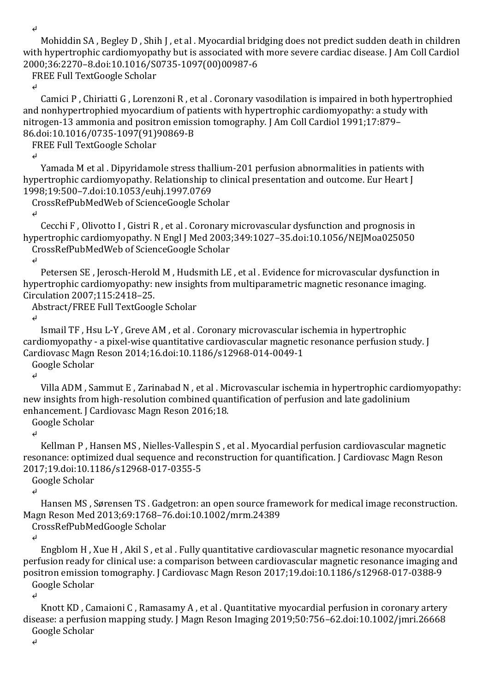↵

 Mohiddin SA , Begley D , Shih J , et al . Myocardial bridging does not predict sudden death in children with hypertrophic cardiomyopathy but is associated with more severe cardiac disease. J Am Coll Cardiol 2000;36:2270–8.doi:10.1016/S0735-1097(00)00987-6

FREE Full TextGoogle Scholar

↵

 Camici P , Chiriatti G , Lorenzoni R , et al . Coronary vasodilation is impaired in both hypertrophied and nonhypertrophied myocardium of patients with hypertrophic cardiomyopathy: a study with nitrogen-13 ammonia and positron emission tomography. J Am Coll Cardiol 1991;17:879– 86.doi:10.1016/0735-1097(91)90869-B

FREE Full TextGoogle Scholar

↵

 Yamada M et al . Dipyridamole stress thallium-201 perfusion abnormalities in patients with hypertrophic cardiomyopathy. Relationship to clinical presentation and outcome. Eur Heart J 1998;19:500–7.doi:10.1053/euhj.1997.0769

CrossRefPubMedWeb of ScienceGoogle Scholar

↵

 Cecchi F , Olivotto I , Gistri R , et al . Coronary microvascular dysfunction and prognosis in hypertrophic cardiomyopathy. N Engl J Med 2003;349:1027–35.doi:10.1056/NEJMoa025050 CrossRefPubMedWeb of ScienceGoogle Scholar

↵

 Petersen SE , Jerosch-Herold M , Hudsmith LE , et al . Evidence for microvascular dysfunction in hypertrophic cardiomyopathy: new insights from multiparametric magnetic resonance imaging. Circulation 2007;115:2418–25.

Abstract/FREE Full TextGoogle Scholar

↵

 Ismail TF , Hsu L-Y , Greve AM , et al . Coronary microvascular ischemia in hypertrophic cardiomyopathy - a pixel-wise quantitative cardiovascular magnetic resonance perfusion study. J Cardiovasc Magn Reson 2014;16.doi:10.1186/s12968-014-0049-1 Google Scholar

↵

 Villa ADM , Sammut E , Zarinabad N , et al . Microvascular ischemia in hypertrophic cardiomyopathy: new insights from high-resolution combined quantification of perfusion and late gadolinium enhancement. J Cardiovasc Magn Reson 2016;18.

Google Scholar

↵

 Kellman P , Hansen MS , Nielles-Vallespin S , et al . Myocardial perfusion cardiovascular magnetic resonance: optimized dual sequence and reconstruction for quantification. J Cardiovasc Magn Reson 2017;19.doi:10.1186/s12968-017-0355-5

Google Scholar

↵

 Hansen MS , Sørensen TS . Gadgetron: an open source framework for medical image reconstruction. Magn Reson Med 2013;69:1768–76.doi:10.1002/mrm.24389

CrossRefPubMedGoogle Scholar

↵

 Engblom H , Xue H , Akil S , et al . Fully quantitative cardiovascular magnetic resonance myocardial perfusion ready for clinical use: a comparison between cardiovascular magnetic resonance imaging and positron emission tomography. J Cardiovasc Magn Reson 2017;19.doi:10.1186/s12968-017-0388-9 Google Scholar

↵

 Knott KD , Camaioni C , Ramasamy A , et al . Quantitative myocardial perfusion in coronary artery disease: a perfusion mapping study. J Magn Reson Imaging 2019;50:756–62.doi:10.1002/jmri.26668 Google Scholar

↵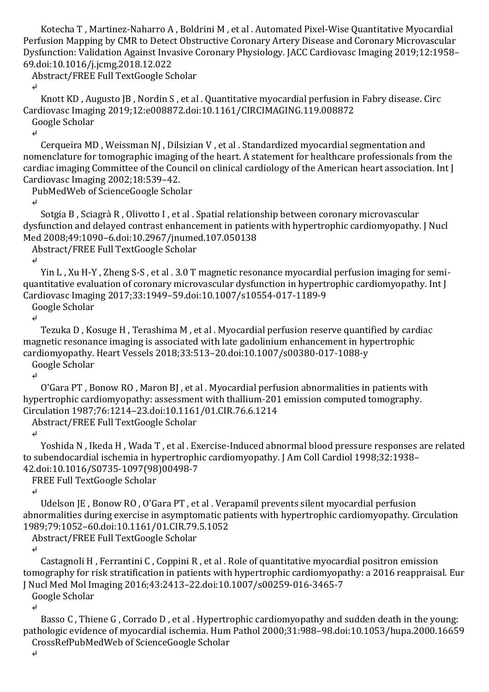Kotecha T , Martinez-Naharro A , Boldrini M , et al . Automated Pixel-Wise Quantitative Myocardial Perfusion Mapping by CMR to Detect Obstructive Coronary Artery Disease and Coronary Microvascular Dysfunction: Validation Against Invasive Coronary Physiology. JACC Cardiovasc Imaging 2019;12:1958– 69.doi:10.1016/j.jcmg.2018.12.022

Abstract/FREE Full TextGoogle Scholar

↵

 Knott KD , Augusto JB , Nordin S , et al . Quantitative myocardial perfusion in Fabry disease. Circ Cardiovasc Imaging 2019;12:e008872.doi:10.1161/CIRCIMAGING.119.008872 Google Scholar

↵

 Cerqueira MD , Weissman NJ , Dilsizian V , et al . Standardized myocardial segmentation and nomenclature for tomographic imaging of the heart. A statement for healthcare professionals from the cardiac imaging Committee of the Council on clinical cardiology of the American heart association. Int J Cardiovasc Imaging 2002;18:539–42.

PubMedWeb of ScienceGoogle Scholar

↵

 Sotgia B , Sciagrà R , Olivotto I , et al . Spatial relationship between coronary microvascular dysfunction and delayed contrast enhancement in patients with hypertrophic cardiomyopathy. J Nucl Med 2008;49:1090–6.doi:10.2967/jnumed.107.050138

Abstract/FREE Full TextGoogle Scholar

↵

 Yin L , Xu H-Y , Zheng S-S , et al . 3.0 T magnetic resonance myocardial perfusion imaging for semiquantitative evaluation of coronary microvascular dysfunction in hypertrophic cardiomyopathy. Int J Cardiovasc Imaging 2017;33:1949–59.doi:10.1007/s10554-017-1189-9

Google Scholar

↵

 Tezuka D , Kosuge H , Terashima M , et al . Myocardial perfusion reserve quantified by cardiac magnetic resonance imaging is associated with late gadolinium enhancement in hypertrophic cardiomyopathy. Heart Vessels 2018;33:513–20.doi:10.1007/s00380-017-1088-y Google Scholar

↵

 O'Gara PT , Bonow RO , Maron BJ , et al . Myocardial perfusion abnormalities in patients with hypertrophic cardiomyopathy: assessment with thallium-201 emission computed tomography. Circulation 1987;76:1214–23.doi:10.1161/01.CIR.76.6.1214

Abstract/FREE Full TextGoogle Scholar

↵

 Yoshida N , Ikeda H , Wada T , et al . Exercise-Induced abnormal blood pressure responses are related to subendocardial ischemia in hypertrophic cardiomyopathy. J Am Coll Cardiol 1998;32:1938– 42.doi:10.1016/S0735-1097(98)00498-7

FREE Full TextGoogle Scholar

↵

 Udelson JE , Bonow RO , O'Gara PT , et al . Verapamil prevents silent myocardial perfusion abnormalities during exercise in asymptomatic patients with hypertrophic cardiomyopathy. Circulation 1989;79:1052–60.doi:10.1161/01.CIR.79.5.1052

Abstract/FREE Full TextGoogle Scholar

↵

 Castagnoli H , Ferrantini C , Coppini R , et al . Role of quantitative myocardial positron emission tomography for risk stratification in patients with hypertrophic cardiomyopathy: a 2016 reappraisal. Eur J Nucl Med Mol Imaging 2016;43:2413–22.doi:10.1007/s00259-016-3465-7

Google Scholar

↵

 Basso C , Thiene G , Corrado D , et al . Hypertrophic cardiomyopathy and sudden death in the young: pathologic evidence of myocardial ischemia. Hum Pathol 2000;31:988–98.doi:10.1053/hupa.2000.16659 CrossRefPubMedWeb of ScienceGoogle Scholar

↵